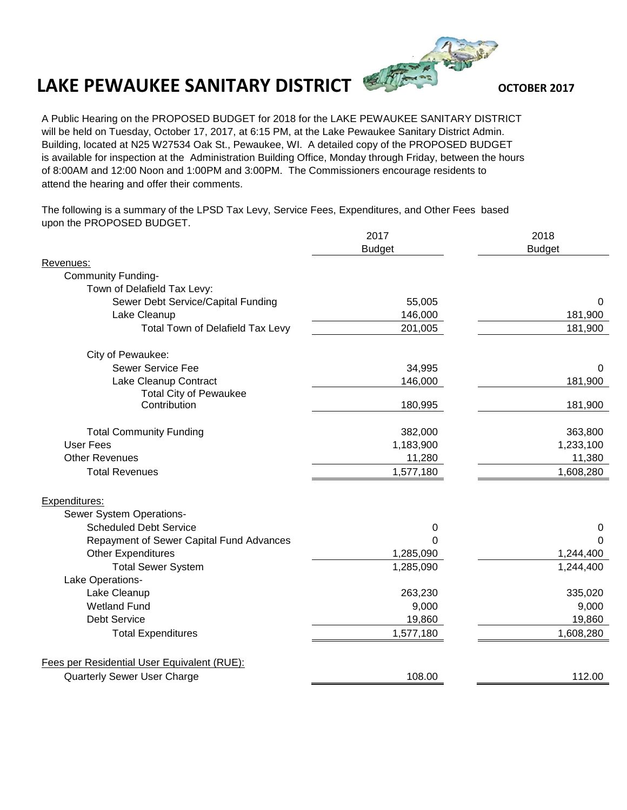## **LAKE PEWAUKEE SANITARY DISTRICT**



A Public Hearing on the PROPOSED BUDGET for 2018 for the LAKE PEWAUKEE SANITARY DISTRICT will be held on Tuesday, October 17, 2017, at 6:15 PM, at the Lake Pewaukee Sanitary District Admin. Building, located at N25 W27534 Oak St., Pewaukee, WI. A detailed copy of the PROPOSED BUDGET is available for inspection at the Administration Building Office, Monday through Friday, between the hours of 8:00AM and 12:00 Noon and 1:00PM and 3:00PM. The Commissioners encourage residents to attend the hearing and offer their comments.

The following is a summary of the LPSD Tax Levy, Service Fees, Expenditures, and Other Fees based upon the PROPOSED BUDGET.

|                                             | 2017          | 2018<br><b>Budget</b> |
|---------------------------------------------|---------------|-----------------------|
|                                             | <b>Budget</b> |                       |
| Revenues:                                   |               |                       |
| <b>Community Funding-</b>                   |               |                       |
| Town of Delafield Tax Levy:                 |               |                       |
| Sewer Debt Service/Capital Funding          | 55,005        | 0                     |
| Lake Cleanup                                | 146,000       | 181,900               |
| Total Town of Delafield Tax Levy            | 201,005       | 181,900               |
| City of Pewaukee:                           |               |                       |
| Sewer Service Fee                           | 34,995        | 0                     |
| Lake Cleanup Contract                       | 146,000       | 181,900               |
| <b>Total City of Pewaukee</b>               |               |                       |
| Contribution                                | 180,995       | 181,900               |
| <b>Total Community Funding</b>              | 382,000       | 363,800               |
| <b>User Fees</b>                            | 1,183,900     | 1,233,100             |
| <b>Other Revenues</b>                       | 11,280        | 11,380                |
| <b>Total Revenues</b>                       | 1,577,180     | 1,608,280             |
| Expenditures:                               |               |                       |
| Sewer System Operations-                    |               |                       |
| <b>Scheduled Debt Service</b>               | 0             | 0                     |
| Repayment of Sewer Capital Fund Advances    | $\Omega$      | $\Omega$              |
| Other Expenditures                          | 1,285,090     | 1,244,400             |
| <b>Total Sewer System</b>                   | 1,285,090     | 1,244,400             |
| Lake Operations-                            |               |                       |
| Lake Cleanup                                | 263,230       | 335,020               |
| <b>Wetland Fund</b>                         | 9,000         | 9,000                 |
| <b>Debt Service</b>                         | 19,860        | 19,860                |
| <b>Total Expenditures</b>                   | 1,577,180     | 1,608,280             |
|                                             |               |                       |
| Fees per Residential User Equivalent (RUE): |               |                       |
| Quarterly Sewer User Charge                 | 108.00        | 112.00                |